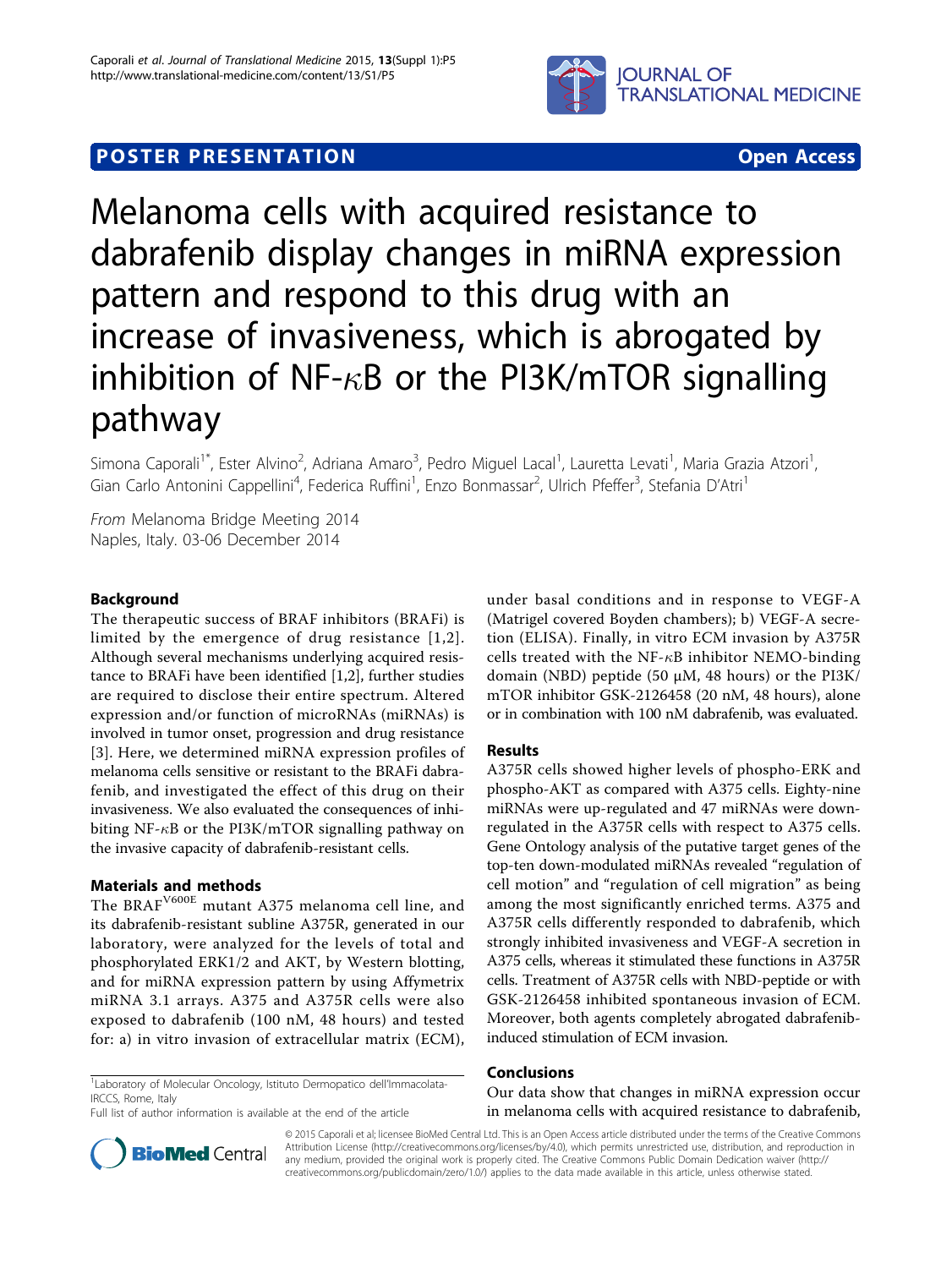

# **POSTER PRESENTATION CONSUMING ACCESS**



Melanoma cells with acquired resistance to dabrafenib display changes in miRNA expression pattern and respond to this drug with an increase of invasiveness, which is abrogated by inhibition of NF- $\kappa$ B or the PI3K/mTOR signalling pathway

Simona Caporali<sup>1\*</sup>, Ester Alvino<sup>2</sup>, Adriana Amaro<sup>3</sup>, Pedro Miguel Lacal<sup>1</sup>, Lauretta Levati<sup>1</sup>, Maria Grazia Atzori<sup>1</sup> , Gian Carlo Antonini Cappellini<sup>4</sup>, Federica Ruffini<sup>1</sup>, Enzo Bonmassar<sup>2</sup>, Ulrich Pfeffer<sup>3</sup>, Stefania D'Atri<sup>1</sup>

From Melanoma Bridge Meeting 2014 Naples, Italy. 03-06 December 2014

# Background

The therapeutic success of BRAF inhibitors (BRAFi) is limited by the emergence of drug resistance [[1,2\]](#page-1-0). Although several mechanisms underlying acquired resistance to BRAFi have been identified [\[1](#page-1-0),[2\]](#page-1-0), further studies are required to disclose their entire spectrum. Altered expression and/or function of microRNAs (miRNAs) is involved in tumor onset, progression and drug resistance [[3](#page-1-0)]. Here, we determined miRNA expression profiles of melanoma cells sensitive or resistant to the BRAFi dabrafenib, and investigated the effect of this drug on their invasiveness. We also evaluated the consequences of inhibiting NF- $\kappa$ B or the PI3K/mTOR signalling pathway on the invasive capacity of dabrafenib-resistant cells.

# Materials and methods

The BRAFV600E mutant A375 melanoma cell line, and its dabrafenib-resistant subline A375R, generated in our laboratory, were analyzed for the levels of total and phosphorylated ERK1/2 and AKT, by Western blotting, and for miRNA expression pattern by using Affymetrix miRNA 3.1 arrays. A375 and A375R cells were also exposed to dabrafenib (100 nM, 48 hours) and tested for: a) in vitro invasion of extracellular matrix (ECM),

<sup>1</sup> Laboratory of Molecular Oncology, Istituto Dermopatico dell'Immacolata-IRCCS, Rome, Italy

Full list of author information is available at the end of the article

under basal conditions and in response to VEGF-A (Matrigel covered Boyden chambers); b) VEGF-A secretion (ELISA). Finally, in vitro ECM invasion by A375R cells treated with the NF- $\kappa$ B inhibitor NEMO-binding domain (NBD) peptide (50 μM, 48 hours) or the PI3K/ mTOR inhibitor GSK-2126458 (20 nM, 48 hours), alone or in combination with 100 nM dabrafenib, was evaluated.

# Results

A375R cells showed higher levels of phospho-ERK and phospho-AKT as compared with A375 cells. Eighty-nine miRNAs were up-regulated and 47 miRNAs were downregulated in the A375R cells with respect to A375 cells. Gene Ontology analysis of the putative target genes of the top-ten down-modulated miRNAs revealed "regulation of cell motion" and "regulation of cell migration" as being among the most significantly enriched terms. A375 and A375R cells differently responded to dabrafenib, which strongly inhibited invasiveness and VEGF-A secretion in A375 cells, whereas it stimulated these functions in A375R cells. Treatment of A375R cells with NBD-peptide or with GSK-2126458 inhibited spontaneous invasion of ECM. Moreover, both agents completely abrogated dabrafenibinduced stimulation of ECM invasion.

## Conclusions

Our data show that changes in miRNA expression occur in melanoma cells with acquired resistance to dabrafenib,



© 2015 Caporali et al; licensee BioMed Central Ltd. This is an Open Access article distributed under the terms of the Creative Commons Attribution License [\(http://creativecommons.org/licenses/by/4.0](http://creativecommons.org/licenses/by/4.0)), which permits unrestricted use, distribution, and reproduction in any medium, provided the original work is properly cited. The Creative Commons Public Domain Dedication waiver [\(http://](http://creativecommons.org/publicdomain/zero/1.0/) [creativecommons.org/publicdomain/zero/1.0/](http://creativecommons.org/publicdomain/zero/1.0/)) applies to the data made available in this article, unless otherwise stated.